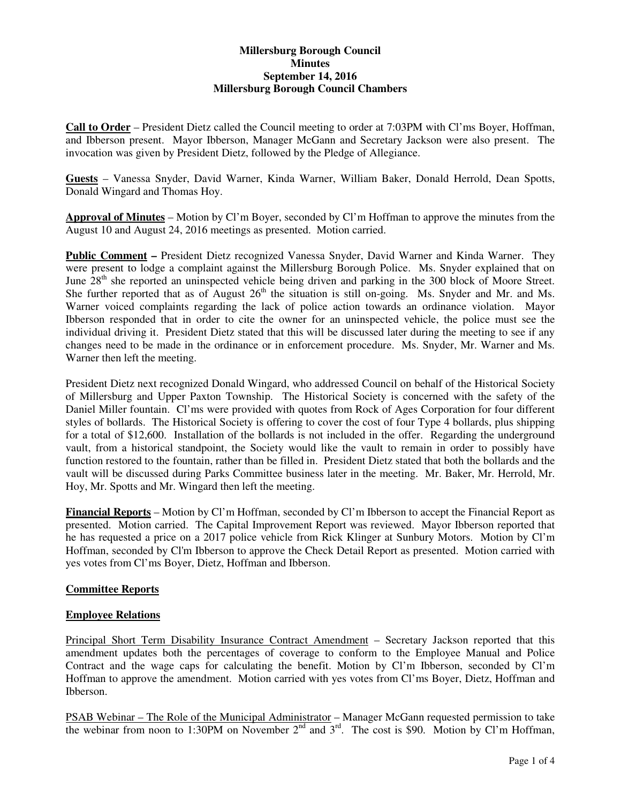# **Millersburg Borough Council Minutes September 14, 2016 Millersburg Borough Council Chambers**

**Call to Order** – President Dietz called the Council meeting to order at 7:03PM with Cl'ms Boyer, Hoffman, and Ibberson present. Mayor Ibberson, Manager McGann and Secretary Jackson were also present. The invocation was given by President Dietz, followed by the Pledge of Allegiance.

**Guests** – Vanessa Snyder, David Warner, Kinda Warner, William Baker, Donald Herrold, Dean Spotts, Donald Wingard and Thomas Hoy.

**Approval of Minutes** – Motion by Cl'm Boyer, seconded by Cl'm Hoffman to approve the minutes from the August 10 and August 24, 2016 meetings as presented. Motion carried.

**Public Comment –** President Dietz recognized Vanessa Snyder, David Warner and Kinda Warner. They were present to lodge a complaint against the Millersburg Borough Police. Ms. Snyder explained that on June  $28<sup>th</sup>$  she reported an uninspected vehicle being driven and parking in the 300 block of Moore Street. She further reported that as of August  $26<sup>th</sup>$  the situation is still on-going. Ms. Snyder and Mr. and Ms. Warner voiced complaints regarding the lack of police action towards an ordinance violation. Mayor Ibberson responded that in order to cite the owner for an uninspected vehicle, the police must see the individual driving it. President Dietz stated that this will be discussed later during the meeting to see if any changes need to be made in the ordinance or in enforcement procedure. Ms. Snyder, Mr. Warner and Ms. Warner then left the meeting.

President Dietz next recognized Donald Wingard, who addressed Council on behalf of the Historical Society of Millersburg and Upper Paxton Township. The Historical Society is concerned with the safety of the Daniel Miller fountain. Cl'ms were provided with quotes from Rock of Ages Corporation for four different styles of bollards. The Historical Society is offering to cover the cost of four Type 4 bollards, plus shipping for a total of \$12,600. Installation of the bollards is not included in the offer. Regarding the underground vault, from a historical standpoint, the Society would like the vault to remain in order to possibly have function restored to the fountain, rather than be filled in. President Dietz stated that both the bollards and the vault will be discussed during Parks Committee business later in the meeting. Mr. Baker, Mr. Herrold, Mr. Hoy, Mr. Spotts and Mr. Wingard then left the meeting.

**Financial Reports** – Motion by Cl'm Hoffman, seconded by Cl'm Ibberson to accept the Financial Report as presented. Motion carried. The Capital Improvement Report was reviewed. Mayor Ibberson reported that he has requested a price on a 2017 police vehicle from Rick Klinger at Sunbury Motors. Motion by Cl'm Hoffman, seconded by Cl'm Ibberson to approve the Check Detail Report as presented. Motion carried with yes votes from Cl'ms Boyer, Dietz, Hoffman and Ibberson.

# **Committee Reports**

#### **Employee Relations**

Principal Short Term Disability Insurance Contract Amendment – Secretary Jackson reported that this amendment updates both the percentages of coverage to conform to the Employee Manual and Police Contract and the wage caps for calculating the benefit. Motion by Cl'm Ibberson, seconded by Cl'm Hoffman to approve the amendment. Motion carried with yes votes from Cl'ms Boyer, Dietz, Hoffman and Ibberson.

PSAB Webinar – The Role of the Municipal Administrator – Manager McGann requested permission to take the webinar from noon to 1:30PM on November  $2^{nd}$  and  $3^{rd}$ . The cost is \$90. Motion by Cl'm Hoffman,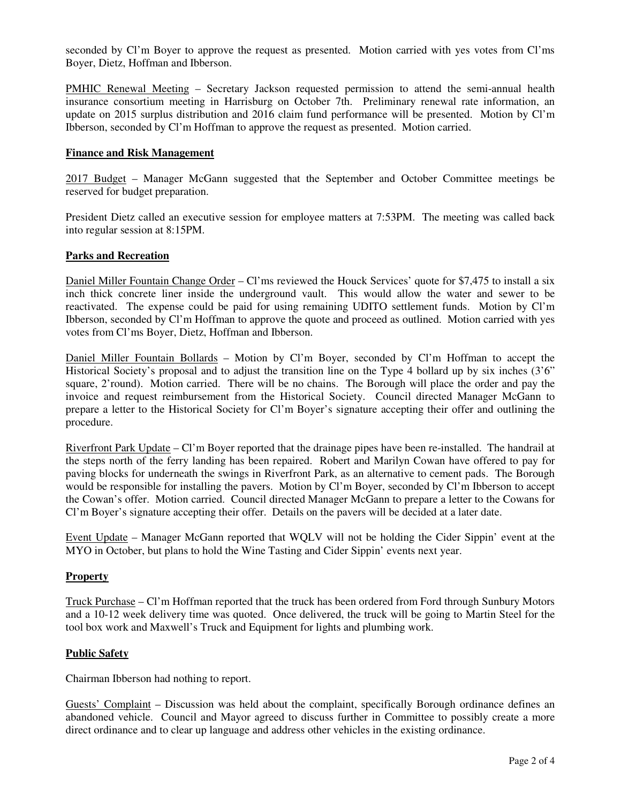seconded by Cl'm Boyer to approve the request as presented. Motion carried with yes votes from Cl'ms Boyer, Dietz, Hoffman and Ibberson.

PMHIC Renewal Meeting – Secretary Jackson requested permission to attend the semi-annual health insurance consortium meeting in Harrisburg on October 7th. Preliminary renewal rate information, an update on 2015 surplus distribution and 2016 claim fund performance will be presented. Motion by Cl'm Ibberson, seconded by Cl'm Hoffman to approve the request as presented. Motion carried.

### **Finance and Risk Management**

2017 Budget – Manager McGann suggested that the September and October Committee meetings be reserved for budget preparation.

President Dietz called an executive session for employee matters at 7:53PM. The meeting was called back into regular session at 8:15PM.

### **Parks and Recreation**

Daniel Miller Fountain Change Order – Cl'ms reviewed the Houck Services' quote for \$7,475 to install a six inch thick concrete liner inside the underground vault. This would allow the water and sewer to be reactivated. The expense could be paid for using remaining UDITO settlement funds. Motion by Cl'm Ibberson, seconded by Cl'm Hoffman to approve the quote and proceed as outlined. Motion carried with yes votes from Cl'ms Boyer, Dietz, Hoffman and Ibberson.

Daniel Miller Fountain Bollards - Motion by Cl'm Boyer, seconded by Cl'm Hoffman to accept the Historical Society's proposal and to adjust the transition line on the Type 4 bollard up by six inches (3'6" square, 2'round). Motion carried. There will be no chains. The Borough will place the order and pay the invoice and request reimbursement from the Historical Society. Council directed Manager McGann to prepare a letter to the Historical Society for Cl'm Boyer's signature accepting their offer and outlining the procedure.

Riverfront Park Update – Cl'm Boyer reported that the drainage pipes have been re-installed. The handrail at the steps north of the ferry landing has been repaired. Robert and Marilyn Cowan have offered to pay for paving blocks for underneath the swings in Riverfront Park, as an alternative to cement pads. The Borough would be responsible for installing the pavers. Motion by Cl'm Boyer, seconded by Cl'm Ibberson to accept the Cowan's offer. Motion carried. Council directed Manager McGann to prepare a letter to the Cowans for Cl'm Boyer's signature accepting their offer. Details on the pavers will be decided at a later date.

Event Update – Manager McGann reported that WQLV will not be holding the Cider Sippin' event at the MYO in October, but plans to hold the Wine Tasting and Cider Sippin' events next year.

#### **Property**

Truck Purchase – Cl'm Hoffman reported that the truck has been ordered from Ford through Sunbury Motors and a 10-12 week delivery time was quoted. Once delivered, the truck will be going to Martin Steel for the tool box work and Maxwell's Truck and Equipment for lights and plumbing work.

#### **Public Safety**

Chairman Ibberson had nothing to report.

Guests' Complaint – Discussion was held about the complaint, specifically Borough ordinance defines an abandoned vehicle. Council and Mayor agreed to discuss further in Committee to possibly create a more direct ordinance and to clear up language and address other vehicles in the existing ordinance.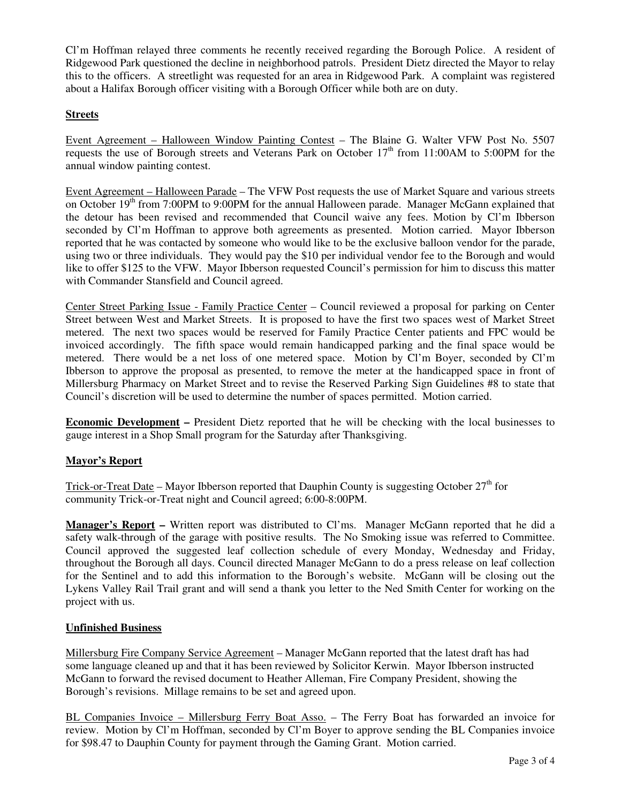Cl'm Hoffman relayed three comments he recently received regarding the Borough Police. A resident of Ridgewood Park questioned the decline in neighborhood patrols. President Dietz directed the Mayor to relay this to the officers. A streetlight was requested for an area in Ridgewood Park. A complaint was registered about a Halifax Borough officer visiting with a Borough Officer while both are on duty.

# **Streets**

Event Agreement – Halloween Window Painting Contest – The Blaine G. Walter VFW Post No. 5507 requests the use of Borough streets and Veterans Park on October  $17<sup>th</sup>$  from 11:00AM to 5:00PM for the annual window painting contest.

Event Agreement – Halloween Parade – The VFW Post requests the use of Market Square and various streets on October 19<sup>th</sup> from 7:00PM to 9:00PM for the annual Halloween parade. Manager McGann explained that the detour has been revised and recommended that Council waive any fees. Motion by Cl'm Ibberson seconded by Cl'm Hoffman to approve both agreements as presented. Motion carried. Mayor Ibberson reported that he was contacted by someone who would like to be the exclusive balloon vendor for the parade, using two or three individuals. They would pay the \$10 per individual vendor fee to the Borough and would like to offer \$125 to the VFW. Mayor Ibberson requested Council's permission for him to discuss this matter with Commander Stansfield and Council agreed.

Center Street Parking Issue - Family Practice Center – Council reviewed a proposal for parking on Center Street between West and Market Streets. It is proposed to have the first two spaces west of Market Street metered. The next two spaces would be reserved for Family Practice Center patients and FPC would be invoiced accordingly. The fifth space would remain handicapped parking and the final space would be metered. There would be a net loss of one metered space. Motion by Cl'm Boyer, seconded by Cl'm Ibberson to approve the proposal as presented, to remove the meter at the handicapped space in front of Millersburg Pharmacy on Market Street and to revise the Reserved Parking Sign Guidelines #8 to state that Council's discretion will be used to determine the number of spaces permitted. Motion carried.

**Economic Development –** President Dietz reported that he will be checking with the local businesses to gauge interest in a Shop Small program for the Saturday after Thanksgiving.

# **Mayor's Report**

Trick-or-Treat Date – Mayor Ibberson reported that Dauphin County is suggesting October  $27<sup>th</sup>$  for community Trick-or-Treat night and Council agreed; 6:00-8:00PM.

**Manager's Report –** Written report was distributed to Cl'ms. Manager McGann reported that he did a safety walk-through of the garage with positive results. The No Smoking issue was referred to Committee. Council approved the suggested leaf collection schedule of every Monday, Wednesday and Friday, throughout the Borough all days. Council directed Manager McGann to do a press release on leaf collection for the Sentinel and to add this information to the Borough's website. McGann will be closing out the Lykens Valley Rail Trail grant and will send a thank you letter to the Ned Smith Center for working on the project with us.

# **Unfinished Business**

Millersburg Fire Company Service Agreement – Manager McGann reported that the latest draft has had some language cleaned up and that it has been reviewed by Solicitor Kerwin. Mayor Ibberson instructed McGann to forward the revised document to Heather Alleman, Fire Company President, showing the Borough's revisions. Millage remains to be set and agreed upon.

BL Companies Invoice – Millersburg Ferry Boat Asso. – The Ferry Boat has forwarded an invoice for review. Motion by Cl'm Hoffman, seconded by Cl'm Boyer to approve sending the BL Companies invoice for \$98.47 to Dauphin County for payment through the Gaming Grant. Motion carried.